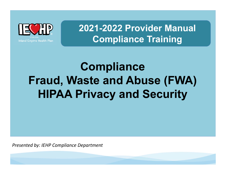

**2021-2022 Provider Manual Compliance Training**

# **Compliance Fraud, Waste and Abuse (FWA) HIPAA Privacy and Security**

*Presented by: IEHP Compliance Department*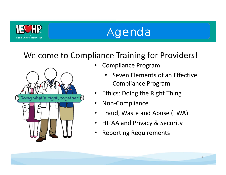

# Agenda

## Welcome to Compliance Training for Providers!



- • Compliance Program
	- Seven Elements of an Effective Compliance Program
- •Ethics: Doing the Right Thing
- •Non‐Compliance
- $\bullet$ Fraud, Waste and Abuse (FWA)
- $\bullet$ HIPAA and Privacy & Security
- •Reporting Requirements

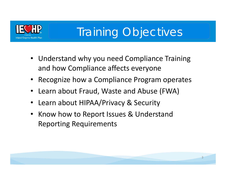

# Training Objectives

- Understand why you need Compliance Training and how Compliance affects everyone
- •Recognize how a Compliance Program operates
- •Learn about Fraud, Waste and Abuse (FWA)
- •Learn about HIPAA/Privacy & Security
- $\bullet$  Know how to Report Issues & Understand Reporting Requirements

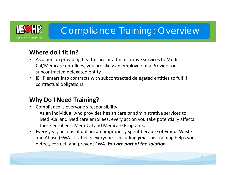

## Compliance Training: Overview

### **Where do I fit in?**

- • As a person providing health care or administrative services to Medi‐ Cal/Medicare enrollees, you are likely an employee of a Provider or subcontracted delegated entity.
- $\bullet$  IEHP enters into contracts with subcontracted delegated entities to fulfill contractual obligations.

### **Why Do I Need Training?**

- • Compliance is everyone's responsibility! As an individual who provides health care or administrative services to Medi‐Cal and Medicare enrollees, every action you take potentially affects these enrollees; Medi‐Cal and Medicare Programs.
- • Every year, billions of dollars are improperly spent because of Fraud, Waste and Abuse (FWA). It affects everyone—including *you*. This training helps you detect, correct, and prevent FWA. *You are part of the solution*.

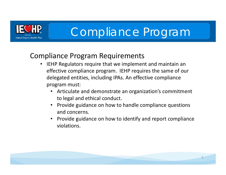

## Compliance Program Requirements

- $\bullet$  IEHP Regulators require that we implement and maintain an effective compliance program. IEHP requires the same of our delegated entities, including IPAs. An effective compliance program must:
	- Articulate and demonstrate an organization's commitment to legal and ethical conduct.
	- Provide guidance on how to handle compliance questions and concerns.
	- Provide guidance on how to identify and report compliance violations.

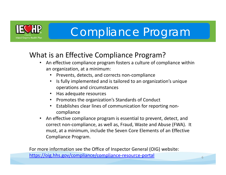

## What is an Effective Compliance Program?

- and the control of the control of the control of the control of compliance within •an organization, at a minimum:
	- •Prevents, detects, and corrects non‐compliance
	- $\bullet$  Is fully implemented and is tailored to an organization's unique operations and circumstances
	- •Has adequate resources
	- •Promotes the organization's Standards of Conduct
	- $\bullet$  Establishes clear lines of communication for reporting non‐ compliance
- $\bullet$  An effective compliance program is essential to prevent, detect, and correct non‐compliance, as well as, Fraud, Waste and Abuse (FWA). It must, at a minimum, include the Seven Core Elements of an Effective Compliance Program.

For more information see the Office of Inspector General (OIG) website: https://oig.hhs.gov/compliance/compliance‐resource‐portal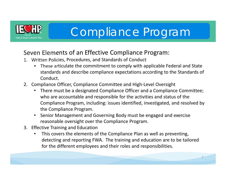

### Seven Elements of an Effective Compliance Program:

- 1. Written Policies, Procedures, and Standards of Conduct
	- $\bullet$  These articulate the commitment to comply with applicable Federal and State standards and describe compliance expectations according to the Standards of Conduct.
- 2. Compliance Officer, Compliance Committee and High‐Level Oversight
	- There must be a designated Compliance Officer and a Compliance Committee; who are accountable and responsible for the activities and status of the Compliance Program, including: issues identified, investigated, and resolved by the Compliance Program.
	- Senior Management and Governing Body must be engaged and exercise reasonable oversight over the Compliance Program.
- 3. Effective Training and Education
	- • This covers the elements of the Compliance Plan as well as preventing, detecting and reporting FWA. The training and education are to be tailored for the different employees and their roles and responsibilities.

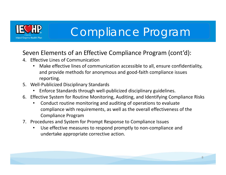

### Seven Elements of an Effective Compliance Program (cont'd):

- 4. Effective Lines of Communication
	- • Make effective lines of communication accessible to all, ensure confidentiality, and provide methods for anonymous and good‐faith compliance issues reporting.
- 5. Well‐Publicized Disciplinary Standards
	- •Enforce Standards through well‐publicized disciplinary guidelines.
- 6. Effective System for Routine Monitoring, Auditing, and Identifying Compliance Risks
	- • Conduct routine monitoring and auditing of operations to evaluate compliance with requirements, as well as the overall effectiveness of the Compliance Program
- 7. Procedures and System for Prompt Response to Compliance Issue s
	- • Use effective measures to respond promptly to non‐compliance and undertake appropriate corrective action.

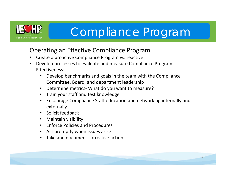

### Operating an Effective Compliance Program

- •Create a proactive Compliance Program vs. reactive
- • Develop processes to evaluate and measure Compliance Program Effectiveness:
	- • Develop benchmarks and goals in the team with the Compliance Committee, Board, and department leadership
	- $\bullet$ Determine metrics‐ What do you want to measure?
	- $\bullet$ Train your staff and test knowledge
	- $\bullet$  Encourage Compliance Staff education and networking internally and externally
	- Solicit feedback
	- Maintain visibility
	- Enforce Policies and Procedures
	- $\bullet$ Act promptly when issues arise
	- •Take and document corrective action

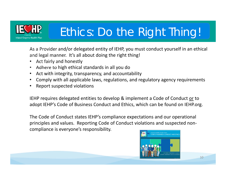

# Ethics: Do the Right Thing!

As a Provider and/or delegated entity of IEHP, you must conduct yourself in an ethical and legal manner. It's all about doing the right thing!

- •Act fairly and honestly
- •Adhere to high ethical standards in all you do
- Act with integrity, transparency, and accountability
- •Comply with all applicable laws, regulations, and regulatory agency requirements
- •Report suspected violations

IEHP requires delegated entities to develop & implement a Code of Conduct or to adopt IEHP's Code of Business Conduct and Ethics, which can be found on IEHP.org.

The Code of Conduct states IEHP's compliance expectations and our operational principles and values. Reporting Code of Conduct violations and suspected non‐ compliance is everyone's responsibility.

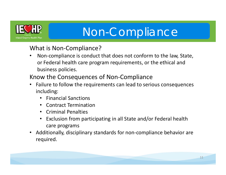

# Non-Compliance

### What is Non-Compliance?

- • Non‐compliance is conduct that does not conform to the law, State, or Federal health care program requirements, or the ethical and business policies.
- Know the Consequences of Non‐Compliance
- • Failure to follow the requirements can lead to serious consequences including:
	- Financial Sanctions
	- Contract Termination
	- Criminal Penalties
	- Exclusion from participating in all State and/or Federal health care programs
- • Additionally, disciplinary standards for non‐compliance behavior are required.

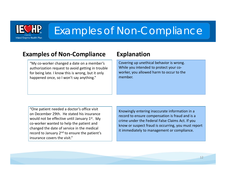

## Examples of Non-Compliance

### **Examples of Non‐Compliance Explanation**

"My co‐worker changed a date on a member's authorization request to avoid getting in trouble for being late. I know this is wrong, but it only happened once, so I won't say anything."

Covering up unethical behavior is wrong. While you intended to protect your coworker, you allowed harm to occur to the member.

"One patient needed a doctor's office visit on December 29th. He stated his insurance would not be effective until January  $1<sup>st</sup>$ . My co‐worker wanted to help the patient and changed the date of service in the medical record to January 2<sup>nd</sup> to ensure the patient's insurance covers the visit."

Knowingly entering inaccurate information in a record to ensure compensation is fraud and is a crime under the Federal False Claims Act. If you know or suspect fraud is occurring, you must report it immediately to management or compliance.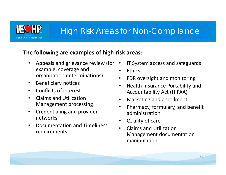

## High Risk Areas for Non-Compliance

### **The following are examples of high‐risk areas:**

- • Appeals and grievance review (for example, coverage and organization determinations)
- $\bullet$ Beneficiary notices
- •Conflicts of interest
- $\bullet$  Claims and Utilization Management processing
- $\bullet$  Credentialing and provider networks
- • Documentation and Timeliness requirements
- •IT System access and safeguards
- •Ethics
- $\bullet$ FDR oversight and monitoring
- • Health Insurance Portability and Accountability Act (HIPAA)
- $\bullet$ Marketing and enrollment
- $\bullet$  Pharmacy, formulary, and benefit administration
- $\bullet$ Quality of care
- $\bullet$  Claims and Utilization Management documentation manipulation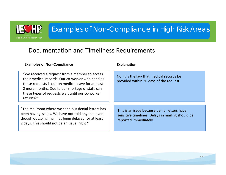

## Examples of Non-Compliance in High Risk Areas

### Documentation and Timeliness Requirements

| <b>Examples of Non-Compliance</b>                                                                                                                                                                                                                                               | <b>Explanation</b>                                                                                                        |
|---------------------------------------------------------------------------------------------------------------------------------------------------------------------------------------------------------------------------------------------------------------------------------|---------------------------------------------------------------------------------------------------------------------------|
| "We received a request from a member to access"<br>their medical records. Our co-worker who handles<br>these requests is out on medical leave for at least<br>2 more months. Due to our shortage of staff, can<br>these types of requests wait until our co-worker<br>returns?" | No. It is the law that medical records be<br>provided within 30 days of the request                                       |
| "The mailroom where we send out denial letters has<br>been having issues. We have not told anyone, even<br>though outgoing mail has been delayed for at least<br>2 days. This should not be an issue, right?"                                                                   | This is an issue because denial letters have<br>sensitive timelines. Delays in mailing should be<br>reported immediately. |

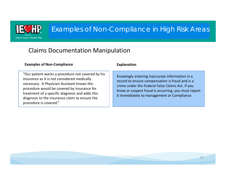

## Examples of Non-Compliance in High Risk Areas

### Claims Documentation Manipulation

### **Examples of Non‐Compliance Explanation**

"Our patient wants a procedure not covered by his insurance as it is not considered medically necessary. A Physician Assistant knows the procedure would be covered by insurance for treatment of a specific diagnosis and adds this diagnosis to the insurance claim to ensure the procedure is covered."

Knowingly entering inaccurate information in a record to ensure compensation is fraud and is a crime under the Federal False Claims Act. If you know or suspect fraud is occurring, you must report it immediately to management or Compliance.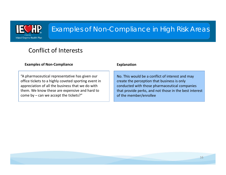

## Examples of Non-Compliance in High Risk Areas

### Conflict of Interests

| <b>Examples of Non-Compliance</b>                    | <b>Explanation</b>                                     |
|------------------------------------------------------|--------------------------------------------------------|
| "A pharmaceutical representative has given our       | No. This would be a conflict of interest and may       |
| office tickets to a highly coveted sporting event in | create the perception that business is only            |
| appreciation of all the business that we do with     | conducted with those pharmaceutical companies          |
| them. We know these are expensive and hard to        | that provide perks, and not those in the best interest |
| come by $-$ can we accept the tickets?"              | of the member/enrollee                                 |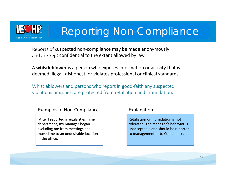

# Reporting Non-Compliance

Reports of suspected non‐compliance may be made anonymously and are kept confidential to the extent allowed by law.

A **whistleblower** is a person who exposes information or activity that is deemed illegal, dishonest, or violates professional or clinical standards.

Whistleblowers and persons who report in good-faith any suspected violations or issues, are protected from retaliation and intimidation.

### Examples of Non-Compliance Explanation

"After I reported irregularities in my department, my manager began excluding me from meetings and moved me to an undesirable location in the office."

Retaliation or intimidation is not tolerated. The manager's behavior is unacceptable and should be reported to management or to Compliance.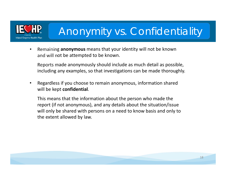

# Anonymity vs. Confidentiality

 $\bullet$  Remaining **anonymous** means that your identity will not be known and will not be attempted to be known.

Reports made anonymously should include as much detail as possible, including any examples, so that investigations can be made thoroughly.

• Regardless if you choose to remain anonymous, information shared will be kept **confidential**.

This means that the information about the person who made the report (if not anonymous), and any details about the situation/issue will only be shared with persons on a need to know basis and only to the extent allowed by law.

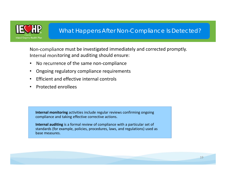

### What Happens After Non-Compliance Is Detected?

Non‐compliance must be investigated immediately and corrected promptly. Internal monitoring and auditing should ensure:

- •No recurrence of the same non‐compliance
- •Ongoing regulatory compliance requirements
- •Efficient and effective internal controls
- •Protected enrollees

**Internal monitoring** activities include regular reviews confirming ongoing compliance and taking effective corrective actions.

**Internal auditing** is a formal review of compliance with a particular set of standards (for example, policies, procedures, laws, and regulations) used as base measures.

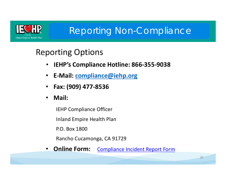

## Reporting Non-Compliance

## Reporting Options

- $\bullet$ **IEHP's Compliance Hotline: 866‐355‐9038**
- $\bullet$ **E‐Mail: compliance@iehp.org**
- $\bullet$ **Fax: (909) 477‐8536**
- $\bullet$ **Mail:**

IEHP Compliance Officer

Inland Empire Health Plan

P.O. Box 1800

Rancho Cucamonga, CA 91729

 $\bullet$ **Online Form:** Compliance Incident Report Form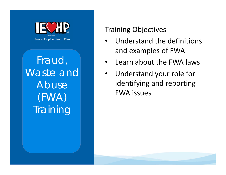

Fraud, Waste and Abuse (FWA) **Training** 

## Training Objectives

- • Understand the definitions and examples of FWA
- •Learn about the FWA laws
- • Understand your role for identifying and reporting FWA issues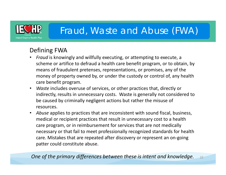

### Defining FWA

- • *Fraud* is knowingly and willfully executing, or attempting to execute, a scheme or artifice to defraud a health care benefit program, or to obtain, by means of fraudulent pretenses, representations, or promises, any of the money of property owned by, or under the custody or control of, any health care benefit program.
- $\bullet$  *Waste* includes overuse of services, or other practices that, directly or indirectly, results in unnecessary costs. Waste is generally not considered to be caused by criminally negligent actions but rather the misuse of resources.
- • *Abuse* applies to practices that are inconsistent with sound fiscal, business, medical or recipient practices that result in unnecessary cost to a health care program, or in reimbursement for services that are not medically necessary or that fail to meet professionally recognized standards for health care. Mistakes that are repeated after discovery or represent an on‐going patter could constitute abuse.

*One of the primary differences between these is intent and knowledge.*  <sup>22</sup>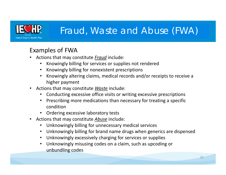

### Examples of FWA

- • Actions that may constitute *Fraud* include:
	- •Knowingly billing for services or supplies not rendered
	- Knowingly billing for nonexistent prescriptions
	- Knowingly altering claims, medical records and/or receipts to receive a higher payment
- • Actions that may constitute *Waste* include:
	- $\bullet$ Conducting excessive office visits or writing excessive prescriptions
	- Prescribing more medications than necessary for treating a specific condition
	- Ordering excessive laboratory tests
- • Actions that may constitute *Abuse* include:
	- Unknowingly billing for unnecessary medical services
	- Unknowingly billing for brand name drugs when generics are dispensed
	- Unknowingly excessively charging for services or supplies
	- Unknowingly misusing codes on a claim, such as upcoding or unbundling codes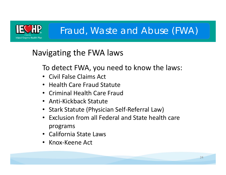

## Navigating the FWA laws

To detect FWA, you need to know the laws:

- Civil False Claims Act
- Health Care Fraud Statute
- Criminal Health Care Fraud
- Anti‐Kickback Statute
- Stark Statute (Physician Self‐Referral Law)
- Exclusion from all Federal and State health care programs
- California State Laws
- Knox‐Keene Act

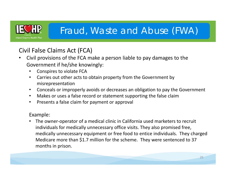

## Civil False Claims Act (FCA)

- $\bullet$  Civil provisions of the FCA make a person liable to pay damages to the Government if he/she knowingly:
	- •Conspires to violate FCA
	- • Carries out other acts to obtain property from the Government by misrepresentation
	- •Conceals or improperly avoids or decreases an obligation to pay the Government
	- •Makes or uses a false record or statement supporting the false claim
	- •Presents a false claim for payment or approval

### Example:

• The owner‐operator of a medical clinic in California used marketers to recruit individuals for medically unnecessary office visits. They also promised free, medically unnecessary equipment or free food to entice individuals. They charged Medicare more than \$1.7 million for the scheme. They were sentenced to 37 months in prison.

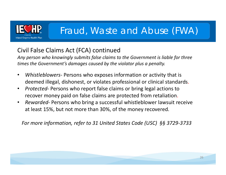

### Civil False Claims Act (FCA) continued

*Any person who knowingly submits false claims to the Government is liable for three times the Government's damages caused by the violator plus a penalty.*

- $\bullet$  *Whistleblowers*‐ Persons who exposes information or activity that is deemed illegal, dishonest, or violates professional or clinical standards.
- $\bullet$  *Protected*‐ Persons who report false claims or bring legal actions to recover money paid on false claims are protected from retaliation.
- $\bullet$  *Rewarded*‐ Persons who bring a successful whistleblower lawsuit receive at least 15%, but not more than 30%, of the money recovered.

*For more information, refer to 31 United States Code (USC) §§ 3729‐3733*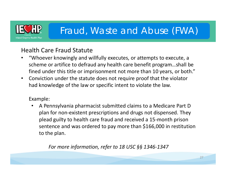

### Health Care Fraud Statute

- • "Whoever knowingly and willfully executes, or attempts to execute, a scheme or artifice to defraud any health care benefit program…shall be fined under this title or imprisonment not more than 10 years, or both."
- Conviction under the statute does not require proof that the violator had knowledge of the law or specific intent to violate the law.

### Example:

• A Pennsylvania pharmacist submitted claims to a Medicare Part D plan for non‐existent prescriptions and drugs not dispensed. They plead guilty to health care fraud and received a 15‐month prison sentence and was ordered to pay more than \$166,000 in restitution to the plan.

*For more information, refer to 18 USC §§ 1346‐1347*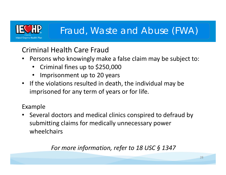

## Criminal Health Care Fraud

- • Persons who knowingly make a false claim may be subject to:
	- •Criminal fines up to \$250,000
	- •Imprisonment up to 20 years
- If the violations resulted in death, the individual may be imprisoned for any term of years or for life.

### Example

• Several doctors and medical clinics conspired to defraud by submitting claims for medically unnecessary power wheelchairs

*For more information, refer to 18 USC § 1347*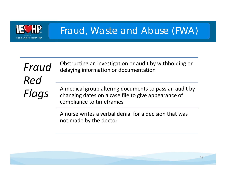

*Fraud Red Flags*

Obstructing an investigation or audit by withholding or delaying information or documentation

A medical group altering documents to pass an audit by changing dates on a case file to give appearance of compliance to timeframes

A nurse writes a verbal denial for a decision that was not made by the doctor

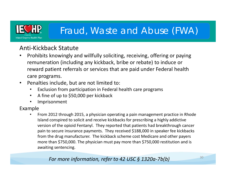

### Anti‐Kickback Statute

- $\bullet$  Prohibits knowingly and willfully soliciting, receiving, offering or paying remuneration (including any kickback, bribe or rebate) to induce or reward patient referrals or services that are paid under Federal health care programs.
- $\bullet$  Penalties include, but are not limited to:
	- $\bullet$ Exclusion from participation in Federal health care programs
	- •A fine of up to \$50,000 per kickback
	- •Imprisonment

### Example

• From 2012 through 2015, a physician operating a pain management practice in Rhode Island conspired to solicit and receive kickbacks for prescribing a highly addictive version of the opioid Fentanyl. They reported that patients had breakthrough cancer pain to secure insurance payments. They received \$188,000 in speaker fee kickbacks from the drug manufacturer. The kickback scheme cost Medicare and other payers more than \$750,000. The physician must pay more than \$750,000 restitution and is awaiting sentencing.

### *For more information, refer to 42 USC § 1320a-7b(b)* 30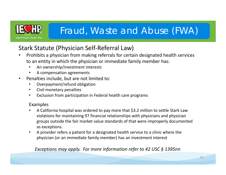

### Stark Statute (Physician Self‐Referral Law)

- • Prohibits a physician from making referrals for certain designated health services to an entity in which the physician or immediate family member has:
	- •An ownership/investment interests
	- •A compensation agreements
- • Penalties include, but are not limited to:
	- •Overpayment/refund obligation
	- •Civil monetary penalties
	- $\bullet$ Exclusion from participation in Federal health care programs

### Examples

- • A California hospital was ordered to pay more that \$3.2 million to settle Stark Law violations for maintaining 97 financial relationships with physicians and physician groups outside the fair market value standards of that were improperly documented as exceptions.
- • A provider refers a patient for a designated health service to a clinic where the physician (or an immediate family member) has an investment interest

*Exceptions may apply. For more information refer to 42 USC § 1395nn*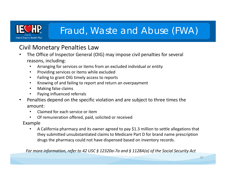

### Civil Monetary Penalties Law

- • The Office of Inspector General (OIG) may impose civil penalties for several reasons, including:
	- •Arranging for services or items from an excluded individual or entity
	- $\bullet$ Providing services or items while excluded
	- $\bullet$ Failing to grant OIG timely access to reports
	- $\bullet$ Knowing of and failing to report and return an overpayment
	- •Making false claims
	- •Paying influenced referrals
- • Penalties depend on the specific violation and are subject to three times the amount:
	- •Claimed for each service or item
	- •Of remuneration offered, paid, solicited or received
	- Example
		- • A California pharmacy and its owner agreed to pay \$1.3 million to settle allegations that they submitted unsubstantiated claims to Medicare Part D for brand name prescription drugs the pharmacy could not have dispensed based on inventory records.

*For more information, refer to 42 USC § 12320a‐7a and § 1128A(a) of the Social Security Act*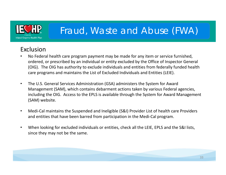

### Exclusion

- • No Federal health care program payment may be made for any item or service furnished, ordered, or prescribed by an individual or entity excluded by the Office of Inspector General (OIG). The OIG has authority to exclude individuals and entities from federally funded health care programs and maintains the List of Excluded Individuals and Entities (LEIE).
- $\bullet$  The U.S. General Services Administration (GSA) administers the System for Award Management (SAM), which contains debarment actions taken by various Federal agencies, including the OIG. Access to the EPLS is available through the System for Award Management (SAM) website.
- • Medi‐Cal maintains the Suspended and Ineligible (S&I) Provider List of health care Providers and entities that have been barred from participation in the Medi‐Cal program.
- • When looking for excluded individuals or entities, check all the LEIE, EPLS and the S&I lists, since they may not be the same.

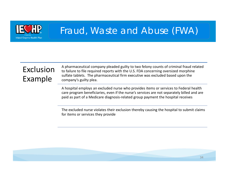

## Exclusion Example

A pharmaceutical company pleaded guilty to two felony counts of criminal fraud related to failure to file required reports with the U.S. FDA concerning oversized morphine sulfate tablets. The pharmaceutical firm executive was excluded based upon the company's guilty plea.

A hospital employs an excluded nurse who provides items or services to Federal health care program beneficiaries, even if the nurse's services are not separately billed and are paid as part of a Medicare diagnosis‐related group payment the hospital receives

The excluded nurse violates their exclusion thereby causing the hospital to submit claims for items or services they provide

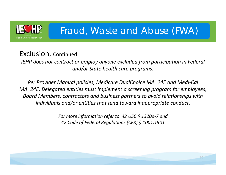

## Exclusion, Continued

*IEHP does not contract or employ anyone excluded from participation in Federal and/or State health care programs.* 

*Per Provider Manual policies, Medicare DualChoice MA\_24E and Medi‐Cal MA\_24E, Delegated entities must implement a screening program for employees, Board Members, contractors and business partners to avoid relationships with individuals and/or entities that tend toward inappropriate conduct.* 

> *For more information refer to 42 USC § 1320a‐7 and 42 Code of Federal Regulations (CFR) § 1001.1901*

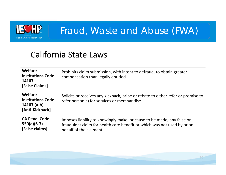

## California State Laws

| Welfare<br><b>Institutions Code</b><br>14107<br>[False Claims]          | Prohibits claim submission, with intent to defraud, to obtain greater<br>compensation than legally entitled.                                                                |
|-------------------------------------------------------------------------|-----------------------------------------------------------------------------------------------------------------------------------------------------------------------------|
| Welfare<br><b>Institutions Code</b><br>$14107$ (a-b)<br>[Anti-Kickback] | Solicits or receives any kickback, bribe or rebate to either refer or promise to<br>refer person(s) for services or merchandise.                                            |
| <b>CA Penal Code</b><br>$550(a)(6-7)$<br>[False claims]                 | Imposes liability to knowingly make, or cause to be made, any false or<br>fraudulent claim for health care benefit or which was not used by or on<br>behalf of the claimant |

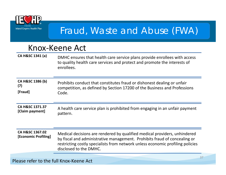

## Knox‐Keene Act

**CA H&SC 1341 (a)** DMHC ensures that health care service plans provide enrollees with access to quality health care services and protect and promote the interests of enrollees.

**CA H&SC 1386 (b) (7) [Fraud]** Prohibits conduct that constitutes fraud or dishonest dealing or unfair competition, as defined by Section 17200 of the Business and Professions Code.

**CA H&SC 1371.37 EX H&SC 1571.57** A health care service plan is prohibited from engaging in an unfair payment [Claim payment]

### **CA H&SC 1367.02 [Economic Profiling]** Medical decisions are rendered by qualified medical providers, unhindered by fiscal and administrative management. Prohibits fraud of concealing or restricting costly specialists from network unless economic profiling policies disclosed to the DMHC.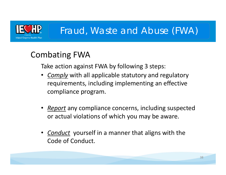

## Combating FWA

Take action against FWA by following 3 steps:

- • *Comply* with all applicable statutory and regulatory requirements, including implementing an effective compliance program.
- *Report* any compliance concerns, including suspected or actual violations of which you may be aware.
- *Conduct* yourself in a manner that aligns with the Code of Conduct.

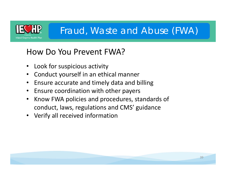

## How Do You Prevent FWA?

- •Look for suspicious activity
- $\bullet$ Conduct yourself in an ethical manner
- Ensure accurate and timely data and billing
- Ensure coordination with other payers
- • Know FWA policies and procedures, standards of conduct, laws, regulations and CMS' guidance
- Verify all received information

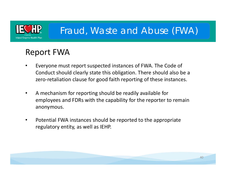

## Report FWA

- • Everyone must report suspected instances of FWA. The Code of Conduct should clearly state this obligation. There should also be a zero-retaliation clause for good faith reporting of these instances.
- $\bullet$  A mechanism for reporting should be readily available for employees and FDRs with the capability for the reporter to remain anonymous.
- • Potential FWA instances should be reported to the appropriate regulatory entity, as well as IEHP.

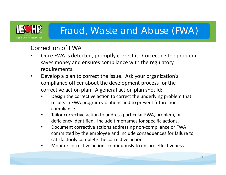

### Correction of FWA

- • Once FWA is detected, promptly correct it. Correcting the problem saves money and ensures compliance with the regulatory requirements.
- $\bullet$  Develop a plan to correct the issue. Ask your organization's compliance officer about the development process for the corrective action plan. A general action plan should:
	- • Design the corrective action to correct the underlying problem that results in FWA program violations and to prevent future non‐ compliance
	- • Tailor corrective action to address particular FWA, problem, or deficiency identified. Include timeframes for specific actions.
	- • Document corrective actions addressing non‐compliance or FWA committed by the employee and include consequences for failure to satisfactorily complete the corrective action.
	- •Monitor corrective actions continuously to ensure effectiveness.

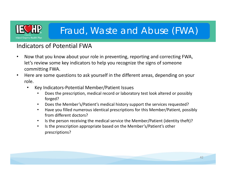

### Indicators of Potential FWA

- • Now that you know about your role in preventing, reporting and correcting FWA, let's review some key indicators to help you recognize the signs of someone committing FWA.
- $\bullet$  Here are some questions to ask yourself in the different areas, depending on your role.
	- • Key Indicators‐Potential Member/Patient Issues
		- • Does the prescription, medical record or laboratory test look altered or possibly forged?
		- •Does the Member's/Patient's medical history support the services requested?
		- • Have you filled numerous identical prescriptions for this Member/Patient, possibly from different doctors?
		- $\bullet$ Is the person receiving the medical service the Member/Patient (identity theft)?
		- $\bullet$  Is the prescription appropriate based on the Member's/Patient's other prescriptions?

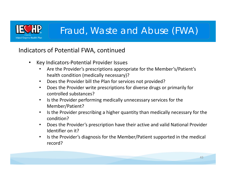

### Indicators of Potential FWA, continued

- $\bullet$  Key Indicators‐Potential Provider Issues
	- • Are the Provider's prescriptions appropriate for the Member's/Patient's health condition (medically necessary)?
	- $\bullet$ Does the Provider bill the Plan for services not provided?
	- $\bullet$  Does the Provider write prescriptions for diverse drugs or primarily for controlled substances?
	- $\bullet$  Is the Provider performing medically unnecessary services for the Member/Patient?
	- $\bullet$  Is the Provider prescribing a higher quantity than medically necessary for the condition?
	- $\bullet$  Does the Provider's prescription have their active and valid National Provider Identifier on it?
	- $\bullet$  Is the Provider's diagnosis for the Member/Patient supported in the medical record?

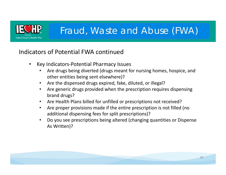

### Indicators of Potential FWA continued

- • Key Indicators‐Potential Pharmacy Issues
	- • Are drugs being diverted (drugs meant for nursing homes, hospice, and other entities being sent elsewhere)?
	- Are the dispensed drugs expired, fake, diluted, or illegal?
	- • Are generic drugs provided when the prescription requires dispensing brand drugs?
	- Are Health Plans billed for unfilled or prescriptions not received?
	- • Are proper provisions made if the entire prescription is not filled (no additional dispensing fees for split prescriptions)?
	- • Do you see prescriptions being altered (changing quantities or Dispense As Written)?

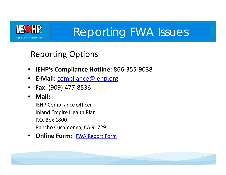

# Reporting FWA Issues

## Reporting Options

- $\bullet$ **IEHP's Compliance Hotline:** 866‐355‐9038
- $\bullet$ **E‐Mail:** compliance@iehp.org
- $\bullet$ **Fax:** (909) 477‐8536
- •**Mail:**

IEHP Compliance Officer Inland Empire Health Plan P.O. Box 1800Rancho Cucamonga, CA 91729

 $\bullet$ **Online Form: FWA Report Form** 

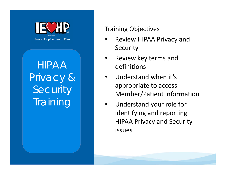

HIPAA Privacy & Security **Training** 

### Training Objectives

- • Review HIPAA Privacy and Security
- • Review key terms and definitions
- • Understand when it's appropriate to access Member/Patient information
- • Understand your role for identifying and reporting HIPAA Privacy and Security issues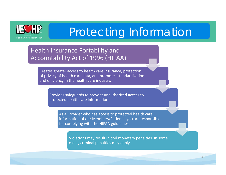

### Health Insurance Portability and Accountability Act of 1996 (HIPAA)

Creates greater access to health care insurance, protection of privacy of health care data, and promotes standardization and efficiency in the health care industry.

Provides safeguards to prevent unauthorized access to protected health care information.

> As a Provider who has access to protected health care information of our Members/Patients, you are responsible for complying with the HIPAA guidelines.

Violations may result in civil monetary penalties. In some cases, criminal penalties may apply.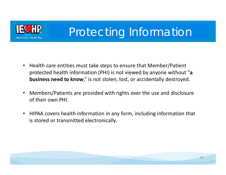

- Health care entities must take steps to ensure that Member/Patient protected health information (PHI) is not viewed by anyone without "**<sup>a</sup> business need to know**," is not stolen, lost, or accidentally destroyed.
- $\bullet$  Members/Patients are provided with rights over the use and disclosure of their own PHI.
- HIPAA covers health information in any form, including information that is stored or transmitted electronically.

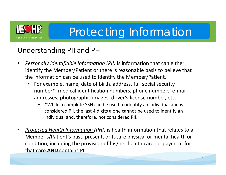

## Understanding PII and PHI

- • *Personally Identifiable Information (PII)* is information that can either identify the Member/Patient or there is reasonable basis to believe that the information can be used to identify the Member/Patient.
	- For example, name, date of birth, address, full social security number **\***, medical identification numbers, phone numbers, e‐mail addresses, photographic images, driver's license number, etc.
		- •**\***While a complete SSN can be used to identify an individual and is considered PII, the last 4 digits alone cannot be used to identify an individual and, therefore, not considered PII.
- • *Protected Health Information (PHI)* is health information that relates to a Member's/Patient's past, present, or future physical or mental health or condition, including the provision of his/her health care, or payment for that care **AND** contains PII.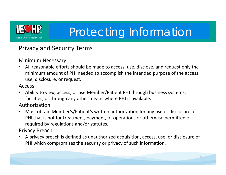

### Privacy and Security Terms

### Minimum Necessary

• All reasonable efforts should be made to access, use, disclose, and request only the minimum amount of PHI needed to accomplish the intended purpose of the access, use, disclosure, or request.

### Access

• Ability to view, access, or use Member/Patient PHI through business systems, facilities, or through any other means where PHI is available.

Authorization

 $\bullet$  Must obtain Member's/Patient's written authorization for any use or disclosure of PHI that is not for treatment, payment, or operations or otherwise permitted or required by regulations and/or statutes.

Privacy Breach

• A privacy breach is defined as unauthorized acquisition, access, use, or disclosure of PHI which compromises the security or privacy of such information.

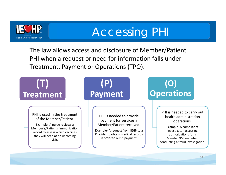

# Accessing PHI

The law allows access and disclosure of Member/Patient PHI when a request or need for information falls under Treatment, Payment or Operations (TPO).

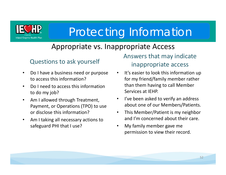

## Appropriate vs. Inappropriate Access

### Questions to ask yourself

- $\bullet$  Do I have a business need or purpose to access this information?
- $\bullet$  Do I need to access this information to do my job?
- $\bullet$  Am I allowed through Treatment, Payment, or Operations (TPO) to use or disclose this information?
- • Am I taking all necessary actions to safeguard PHI that I use?

Answers that may indicate inappropriate access

- • It's easier to look this information up for my friend/family member rather than them having to call Member Services at IEHP.
- $\bullet$  I've been asked to verify an address about one of our Members/Patients.
- $\bullet$  This Member/Patient is my neighbor and I'm concerned about their care.
- • My family member gave me permission to view their record.

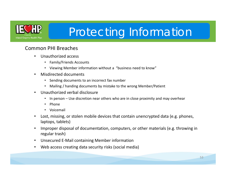

### Common PHI Breaches

- • Unauthorized access
	- Family/Friends Accounts
	- Viewing Member information without a "business need to know"
- • Misdirected documents
	- •Sending documents to an incorrect fax number
	- Mailing / handing documents by mistake to the wrong Member/Patient
- • Unauthorized verbal disclosure
	- •In person – Use discretion near others who are in close proximity and may overhear
	- •Phone
	- Voicemail
- $\bullet$  Lost, missing, or stolen mobile devices that contain unencrypted data (e.g. phones, laptops, tablets)
- • Improper disposal of documentation, computers, or other materials (e.g. throwing in regular trash)
- •Unsecured E‐Mail containing Member information
- $\bullet$ Web access creating data security risks (social media)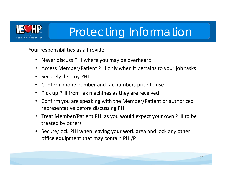

Your responsibilities as a Provider

- Never discuss PHI where you may be overheard
- Access Member/Patient PHI only when it pertains to your job tasks
- •Securely destroy PHI
- •Confirm phone number and fax numbers prior to use
- •Pick up PHI from fax machines as they are received
- • Confirm you are speaking with the Member/Patient or authorized representative before discussing PHI
- • Treat Member/Patient PHI as you would expect your own PHI to be treated by others
- • Secure/lock PHI when leaving your work area and lock any other office equipment that may contain PHI/PII

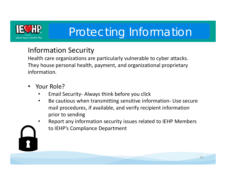

## Information Security

Health care organizations are particularly vulnerable to cyber attacks. They house personal health, payment, and organizational proprietary information.

- • Your Role?
	- •Email Security‐ Always think before you click
	- • Be cautious when transmitting sensitive information‐ Use secure mail procedures, if available, and verify recipient information prior to sending
	- • Report any information security issues related to IEHP Members to IEHP's Compliance Department

55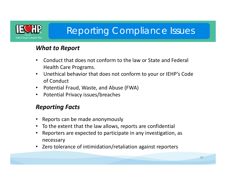

## Reporting Compliance Issues

### *What to Report*

- • Conduct that does not conform to the law or State and Federal Health Care Programs.
- • Unethical behavior that does not conform to your or IEHP's Code of Conduct
- •Potential Fraud, Waste, and Abuse (FWA)
- •Potential Privacy issues/breaches

### *Reporting Facts*

- •Reports can be made anonymously
- •To the extent that the law allows, reports are confidential
- • Reporters are expected to participate in any investigation, as necessary
- •Zero tolerance of intimidation/retaliation against reporters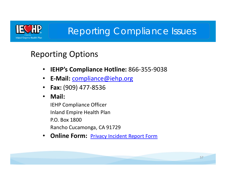

## Reporting Compliance Issues

## Reporting Options

- $\bullet$ **IEHP's Compliance Hotline:** 866‐355‐9038
- **E‐Mail:** compliance@iehp.org
- •**Fax:** (909) 477‐8536
- •**Mail:**

IEHP Compliance Officer Inland Empire Health Plan P.O. Box 1800Rancho Cucamonga, CA 91729

 $\bullet$ **Online Form: Privacy Incident Report Form** 

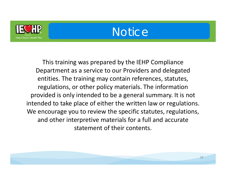

## Notice

This training was prepared by the IEHP Compliance Department as a service to our Providers and delegated entities. The training may contain references, statutes, regulations, or other policy materials. The information provided is only intended to be a general summary. It is not intended to take place of either the written law or regulations. We encourage you to review the specific statutes, regulations, and other interpretive materials for a full and accurate statement of their contents.